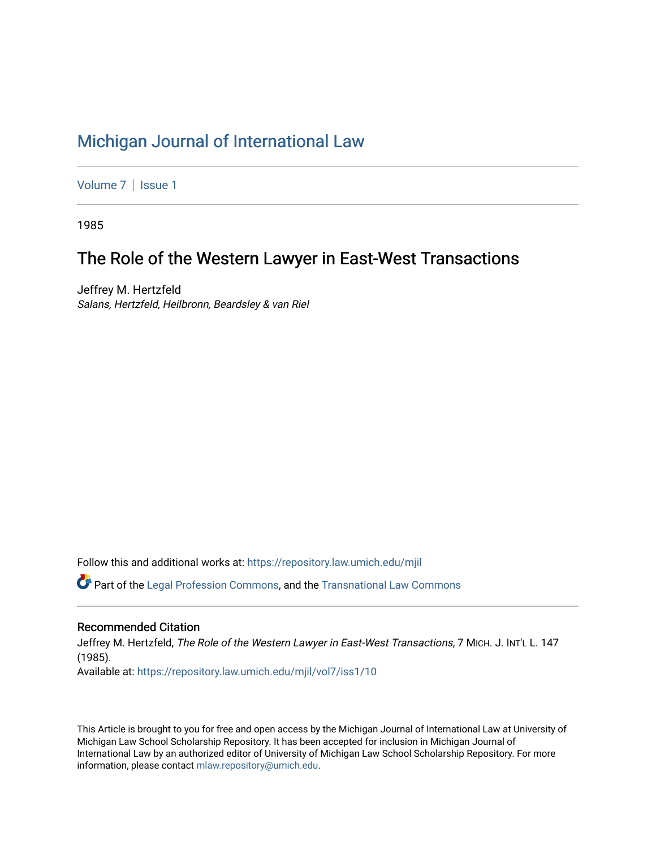# [Michigan Journal of International Law](https://repository.law.umich.edu/mjil)

[Volume 7](https://repository.law.umich.edu/mjil/vol7) | Issue 1

1985

# The Role of the Western Lawyer in East-West Transactions

Jeffrey M. Hertzfeld Salans, Hertzfeld, Heilbronn, Beardsley & van Riel

Follow this and additional works at: [https://repository.law.umich.edu/mjil](https://repository.law.umich.edu/mjil?utm_source=repository.law.umich.edu%2Fmjil%2Fvol7%2Fiss1%2F10&utm_medium=PDF&utm_campaign=PDFCoverPages) 

 $\bullet$  Part of the [Legal Profession Commons](http://network.bepress.com/hgg/discipline/1075?utm_source=repository.law.umich.edu%2Fmjil%2Fvol7%2Fiss1%2F10&utm_medium=PDF&utm_campaign=PDFCoverPages), and the [Transnational Law Commons](http://network.bepress.com/hgg/discipline/1123?utm_source=repository.law.umich.edu%2Fmjil%2Fvol7%2Fiss1%2F10&utm_medium=PDF&utm_campaign=PDFCoverPages)

# Recommended Citation

Jeffrey M. Hertzfeld, The Role of the Western Lawyer in East-West Transactions, 7 MICH. J. INT'L L. 147 (1985). Available at: [https://repository.law.umich.edu/mjil/vol7/iss1/10](https://repository.law.umich.edu/mjil/vol7/iss1/10?utm_source=repository.law.umich.edu%2Fmjil%2Fvol7%2Fiss1%2F10&utm_medium=PDF&utm_campaign=PDFCoverPages) 

This Article is brought to you for free and open access by the Michigan Journal of International Law at University of Michigan Law School Scholarship Repository. It has been accepted for inclusion in Michigan Journal of International Law by an authorized editor of University of Michigan Law School Scholarship Repository. For more information, please contact [mlaw.repository@umich.edu](mailto:mlaw.repository@umich.edu).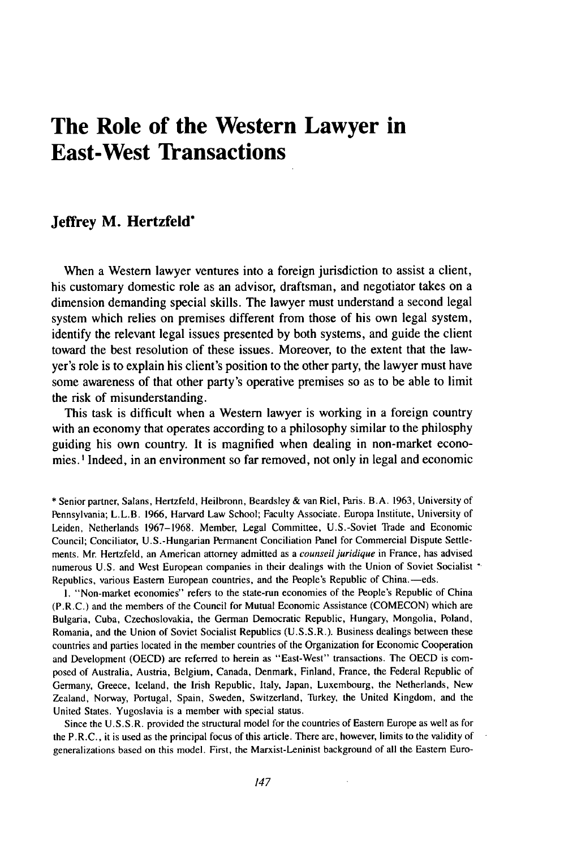# **The Role of the Western Lawyer in East-West Transactions**

# **Jeffrey M. Hertzfeld\***

When a Western lawyer ventures into a foreign jurisdiction to assist a client, his customary domestic role as an advisor, draftsman, and negotiator takes on a dimension demanding special skills. The lawyer must understand a second legal system which relies on premises different from those of his own legal system, identify the relevant legal issues presented **by** both systems, and guide the client toward the best resolution of these issues. Moreover, to the extent that the lawyer's role is to explain his client's position to the other party, the lawyer must have some awareness of that other party's operative premises so as to be able to limit the risk of misunderstanding.

This task is difficult when a Western lawyer is working in a foreign country with an economy that operates according to a philosophy similar to the philosphy guiding his own country. It is magnified when dealing in non-market economies. **I** Indeed, in an environment so far removed, not only in legal and economic

**1.** "Non-market economies" refers to the state-run economies of the People's Republic of China (P.R.C.) and the members of the Council for Mutual Economic Assistance **(COMECON)** which are Bulgaria, Cuba, Czechoslovakia, the German Democratic Republic, Hungary, Mongolia, Poland, Romania, and the Union of Soviet Socialist Republics **(U.S.S.R.).** Business dealings between these countries and parties located in the member countries of the Organization for Economic Cooperation and Development **(OECD)** are referred to herein as "East-West" transactions. The **OECD** is composed of Australia, Austria, Belgium, Canada, Denmark, Finland, France, the Federal Republic of Germany, Greece, Iceland, the Irish Republic, Italy, Japan, Luxembourg, the Netherlands, New Zealand, Norway, Portugal, Spain, Sweden, Switzerland, Turkey, the United Kingdom, and the United States. Yugoslavia is a member with special status.

Since the **U.S.S.R.** provided the structural model for the countries of Eastern Europe as well as for the P.R.C., it is used as the principal focus of this article. There are, however, limits to the validity of generalizations based on this model. First, the Marxist-Leninist background of all the Eastern Euro-

**<sup>\*</sup>** Senior partner, Salans, Hertzfeld, Heilbronn, Beardsley **&** van Riel, Paris. B.A. **1963,** University of Pennsylvania; L.L.B. **1966,** Harvard Law School; Faculty Associate. Europa Instiiute, University of Leiden, Netherlands **1967-1968.** Member, Legal Committee, U.S.-Soviet Trade and Economic Council; Conciliator, U.S.-Hungarian Permanent Conciliation Panel for Commercial Dispute Settlements. Mr. Hertzfeld, an American attorney admitted as a counseil juridique in France, has advised numerous U.S. and West European companies in their dealings with the Union of Soviet Socialist \* Republics, various Eastern European countries, and the People's Republic of China.—eds.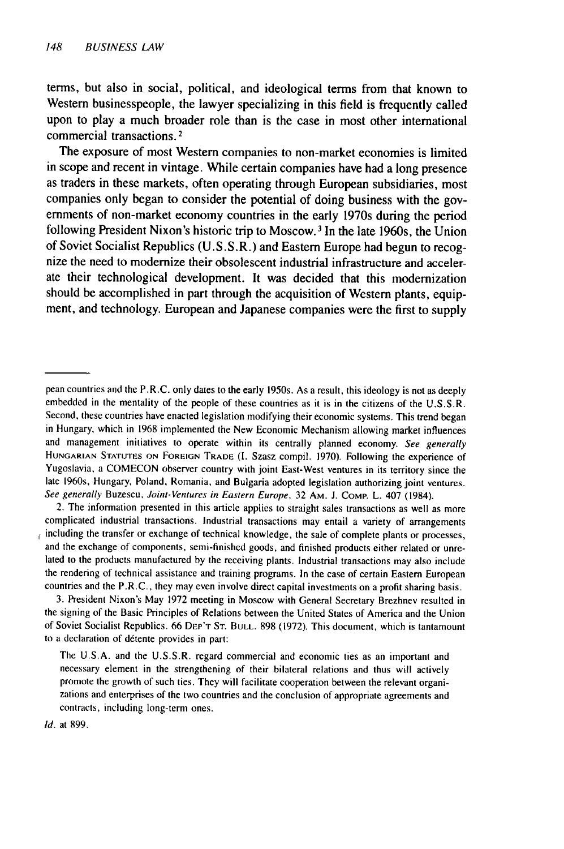terms, but also in social, political, and ideological terms from that known to Western businesspeople, the lawyer specializing in this field is frequently called upon to play a much broader role than is the case in most other international commercial transactions. **2**

The exposure of most Western companies to non-market economies is limited in scope and recent in vintage. While certain companies have had a long presence as traders in these markets, often operating through European subsidiaries, most companies only began to consider the potential of doing business with the governments of non-market economy countries in the early 1970s during the period following President Nixon's historic trip to Moscow. **<sup>3</sup>**In the late 1960s, the Union of Soviet Socialist Republics **(U.S.S.R.)** and Eastern Europe had begun to recognize the need to modernize their obsolescent industrial infrastructure and accelerate their technological development. It was decided that this modernization should be accomplished in part through the acquisition of Western plants, equipment, and technology. European and Japanese companies were the first to supply

2. The information presented in this article applies to straight sales transactions as well as more complicated industrial transactions. Industrial transactions may entail a variety of arrangements  $\epsilon$  including the transfer or exchange of technical knowledge, the sale of complete plants or processes, and the exchange of components, semi-finished goods, and finished products either related or unrelated to the products manufactured by the receiving plants. Industrial transactions may also include the rendering of technical assistance and training programs. In the case of certain Eastern European countries and the P.R.C., they may even involve direct capital investments on a profit sharing basis.

3. President Nixon's May 1972 meeting in Moscow with General Secretary Brezhnev resulted in the signing of the Basic Principles of Relations between the United States of America and the Union of Soviet Socialist Republics. 66 DEP'T **ST.** BULL. 898 (1972). This document, which is tantamount to a declaration of détente provides in part:

Id. at 899.

pean countries and the P.R.C. only dates to the early 1950s. As a result, this ideology is not as deeply embedded in the mentality of the people of these countries as it is in the citizens of the U.S.S.R. Second, these countries have enacted legislation modifying their economic systems. This trend began in Hungary, which in 1968 implemented the New Economic Mechanism allowing market influences and management initiatives to operate within its centrally planned economy. See generally HUNGARIAN STATUTES ON FOREIGN TRADE (I. Szasz compil. 1970). Following the experience of Yugoslavia, a COMECON observer country with joint East-West ventures in its territory since the late 1960s, Hungary, Poland, Romania, and Bulgaria adopted legislation authorizing joint ventures. See generally Buzescu, Joint-Ventures in Eastern Europe, 32 AM. **J.** COMP. L. 407 (1984).

The U.S.A. and the U.S.S.R. regard commercial and economic ties as an important and necessary element in the strengthening of their bilateral relations and thus will actively promote the growth of such ties. They will facilitate cooperation between the relevant organizations and enterprises of the two countries and the conclusion of appropriate agreements and contracts, including long-term ones.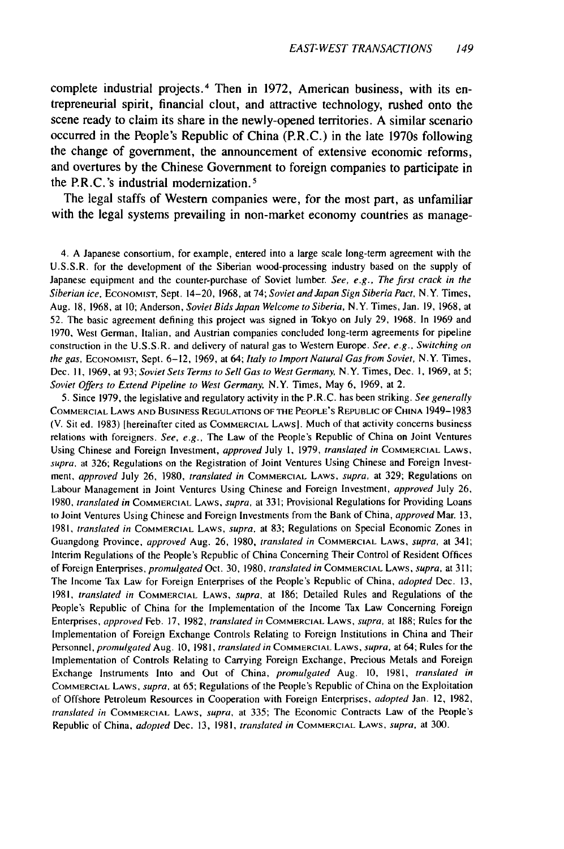complete industrial projects. 4 Then in **1972,** American business, with its entrepreneurial spirit, financial clout, and attractive technology, rushed onto the scene ready to claim its share in the newly-opened territories. **A** similar scenario occurred in the People's Republic of China (P.R.C.) in the late 1970s following the change of government, the announcement of extensive economic reforms, and overtures **by** the Chinese Government to foreign companies to participate in the P.R.C.'s industrial modernization. <sup>5</sup>

The legal staffs of Western companies were, for the most part, as unfamiliar with the legal systems prevailing in non-market economy countries as manage-

4. A Japanese consortium, for example, entered into a large scale long-term agreement with the U.S.S.R. for the development of the Siberian wood-processing industry based on the supply of Japanese equipment and the counter-purchase of Soviet lumber. *See, e.g., The* first crack in the Siberian ice, **ECONOMIST,** Sept. 14-20, 1968, at 74; Soviet and Japan Sign Siberia Pact, N.Y. Times, Aug. 18, 1968, at 10; Anderson, Soviet Bids Japan Welcome to Siberia, N.Y. Times, Jan. 19, 1968, at 52. The basic agreement defining this project was signed in Tokyo on July 29, 1968. In 1969 and 1970, West German, Italian, and Austrian companies concluded long-term agreements for pipeline construction in the U.S.S.R. and delivery of natural gas to Western Europe. See, e.g., Switching on the gas, ECONOMIST, Sept. 6-12, 1969, at 64; Italy to Import Natural Gas *from* Soviet, N.Y. Times, Dec. II, 1969, at 93; Soviet Sets Terms to Sell Gas to West Germany, N.Y. Times, Dec. 1, 1969, at 5; Soviet Offers to Extend Pipeline to West Germany N.Y. Times, May **6,** 1969, at 2.

5. Since 1979, the legislative and regulatory activity in the P.R.C. has been striking. See generally COMMERCIAL LAWS **AND** BUSINESS **REGULATIONS** OF **THE** PEOPLE'S REPUBLIC OF **CHINA** 1949-1983 (V. Sit ed. **1983)** [hereinafter cited as COMMERCIAL LAWS]. Much of that activity concerns business relations with foreigners. See, e.g., The Law of the People's Republic of China on Joint Ventures Using Chinese and Foreign Investment, approved July **1,** 1979, translated in COMMERCIAL LAWS, supra, at 326; Regulations on the Registration of Joint Ventures Using Chinese and Foreign Investment, approved July 26, 1980, translated in COMMERCIAL LAWS, supra, at 329; Regulations on Labour Management in Joint Ventures Using Chinese and Foreign Investment, approved July 26, 1980, translated in COMMERCIAL LAWS, supra, at 331; Provisional Regulations for Providing Loans to Joint Ventures Using Chinese and Foreign Investments from the Bank of China, approved Mar. 13, 1981, translated in COMMERCIAL LAWS, supra, at 83; Regulations on Special Economic Zones in Guangdong Province, approved Aug. 26, 1980, translated in COMMERCIAL LAWS, supra, at 341; Interim Regulations of the People's Republic of China Concerning Their Control of Resident Offices of Foreign Enterprises, promulgated Oct. 30, 1980, translated in COMMERCIAL LAWS, supra, at **311;** The Income Tax Law for Foreign Enterprises of the People's Republic of China, adopted Dec. 13, 1981, translated in COMMERCIAL LAWS, supra, at 186; Detailed Rules and Regulations of the People's Republic of China for the Implementation of the Income Tax Law Concerning Foreign Enterprises, approved Feb. 17, 1982, translated in COMMERCIAL LAWS, supra, at 188; Rules for the Implementation of Foreign Exchange Controls Relating to Foreign Institutions in China and Their Personnel, promulgated Aug. **10,** 1981, translated in COMMERCIAL LAWS, supra, at 64; Rules for the Implementation of Controls Relating to Carrying Foreign Exchange, Precious Metals and Foreign Exchange Instruments Into and Out of China, promulgated Aug. 10, 1981, translated in COMMERCIAL LAWS, supra, at 65; Regulations of the People's Republic of China on the Exploitation of Offshore Petroleum Resources in Cooperation with Foreign Enterprises, adopted Jan. 12, 1982, translated in COMMERCIAL LAWS, supra, at 335; The Economic Contracts Law of the People's Republic of China, *adopted Dec. 13, 1981, translated in* COMMERCIAL LAWS, *supra*, at 300.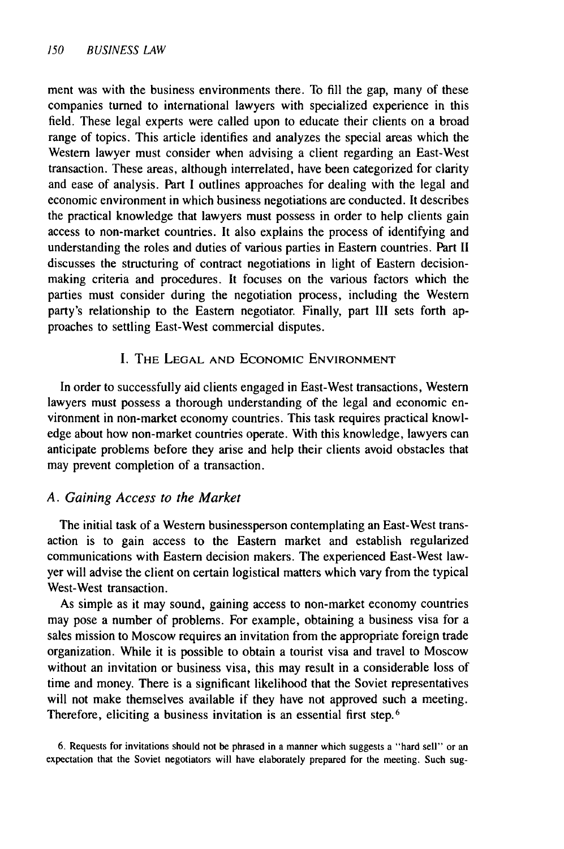ment was with the business environments there. To fill the gap, many of these companies turned to international lawyers with specialized experience in this field. These legal experts were called upon to educate their clients on a broad range of topics. This article identifies and analyzes the special areas which the Western lawyer must consider when advising a client regarding an East-West transaction. These areas, although interrelated, have been categorized for clarity and ease of analysis. Part I outlines approaches for dealing with the legal and economic environment in which business negotiations are conducted. It describes the practical knowledge that lawyers must possess in order to help clients gain access to non-market countries. It also explains the process of identifying and understanding the roles and duties of various parties in Eastern countries. Part II discusses the structuring of contract negotiations in light of Eastern decisionmaking criteria and procedures. It focuses on the various factors which the parties must consider during the negotiation process, including the Western party's relationship to the Eastern negotiator. Finally, part **III** sets forth approaches to settling East-West commercial disputes.

### I. THE LEGAL AND ECONOMIC ENVIRONMENT

In order to successfully aid clients engaged in East-West transactions, Western lawyers must possess a thorough understanding of the legal and economic environment in non-market economy countries. This task requires practical knowledge about how non-market countries operate. With this knowledge, lawyers can anticipate problems before they arise and help their clients avoid obstacles that may prevent completion of a transaction.

### *A. Gaining Access to the Market*

The initial task of a Western businessperson contemplating an East-West transaction is to gain access to the Eastern market and establish regularized communications with Eastern decision makers. The experienced East-West lawyer will advise the client on certain logistical matters which vary from the typical West-West transaction.

As simple as it may sound, gaining access to non-market economy countries may pose a number of problems. For example, obtaining a business visa for a sales mission to Moscow requires an invitation from the appropriate foreign trade organization. While it is possible to obtain a tourist visa and travel to Moscow without an invitation or business visa, this may result in a considerable loss of time and money. There is a significant likelihood that the Soviet representatives will not make themselves available if they have not approved such a meeting. Therefore, eliciting a business invitation is an essential first step.<sup>6</sup>

6. Requests for invitations should not be phrased in a manner which suggests a "hard sell" or an expectation that the Soviet negotiators will have elaborately prepared for the meeting. Such sug-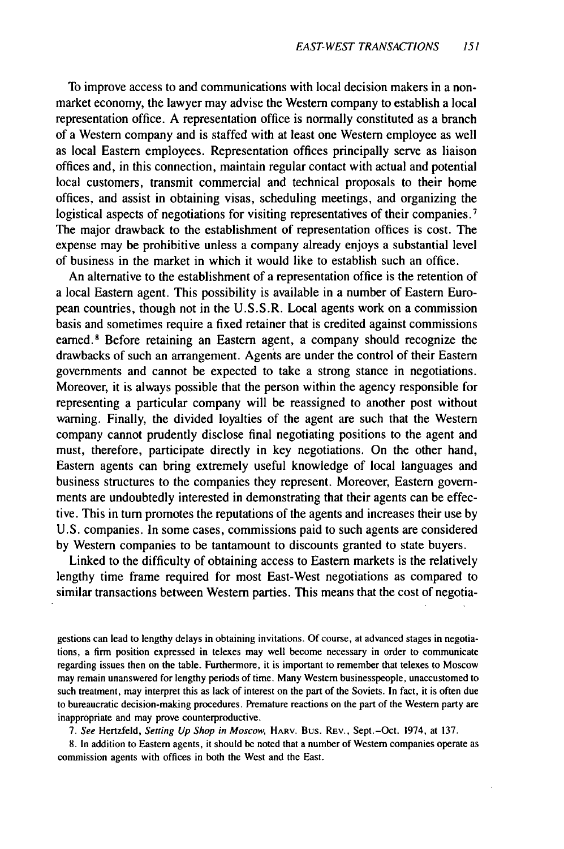To improve access to and communications with local decision makers in a nonmarket economy, the lawyer may advise the Western company to establish a local representation office. A representation office is normally constituted as a branch of a Western company and is staffed with at least one Western employee as well as local Eastern employees. Representation offices principally serve as liaison offices and, in this connection, maintain regular contact with actual and potential local customers, transmit commercial and technical proposals to their home offices, and assist in obtaining visas, scheduling meetings, and organizing the logistical aspects of negotiations for visiting representatives of their companies.<sup>7</sup> The major drawback to the establishment of representation offices is cost. The expense may be prohibitive unless a company already enjoys a substantial level of business in the market in which it would like to establish such an office.

An alternative to the establishment of a representation office is the retention of a local Eastern agent. This possibility is available in a number of Eastern European countries, though not in the U.S.S.R. Local agents work on a commission basis and sometimes require a fixed retainer that is credited against commissions earned.<sup>8</sup> Before retaining an Eastern agent, a company should recognize the drawbacks of such an arrangement. Agents are under the control of their Eastern governments and cannot be expected to take a strong stance in negotiations. Moreover, it is always possible that the person within the agency responsible for representing a particular company will be reassigned to another post without warning. Finally, the divided loyalties of the agent are such that the Western company cannot prudently disclose final negotiating positions to the agent and must, therefore, participate directly in key negotiations. On the other hand, Eastern agents can bring extremely useful knowledge of local languages and business structures to the companies they represent. Moreover, Eastern governments are undoubtedly interested in demonstrating that their agents can be effective. This in turn promotes the reputations of the agents and increases their use by U.S. companies. In some cases, commissions paid to such agents are considered by Western companies to be tantamount to discounts granted to state buyers.

Linked to the difficulty of obtaining access to Eastern markets is the relatively lengthy time frame required for most East-West negotiations as compared to similar transactions between Western parties. This means that the cost of negotia-

gestions can lead to lengthy delays in obtaining invitations. Of course, at advanced stages in negotiations, a firm position expressed in telexes may well become necessary in order to communicate regarding issues then on the table. Furthermore, it is important to remember that telexes to Moscow may remain unanswered for lengthy periods of time. Many Western businesspeople, unaccustomed to such treatment, may interpret this as lack of interest on the part of the Soviets. In fact, it is often due to bureaucratic decision-making procedures. Premature reactions on the part of the Western party are inappropriate and may prove counterproductive.

*7. See* Hertzfeld, *Setting Up Shop in Moscow,* HARV. Bus. REV., Sept.-Oct. 1974, at 137.

8. In addition to Eastern agents, it should be noted that a number of Western companies operate as commission agents with offices in both the West and the East.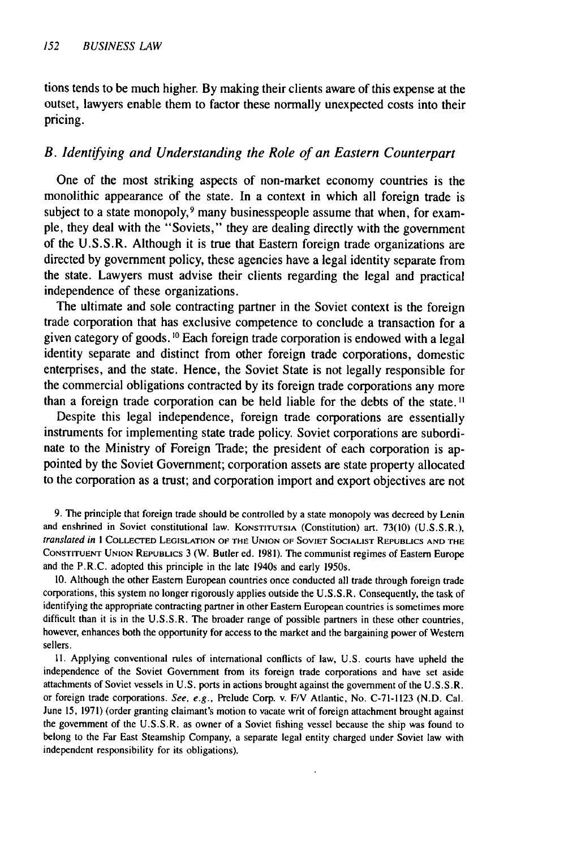tions tends to be much higher. By making their clients aware of this expense at the outset, lawyers enable them to factor these normally unexpected costs into their pricing.

## *B. Identifying and Understanding the Role of an Eastern Counterpart*

One of the most striking aspects of non-market economy countries is the monolithic appearance of the state. In a context in which all foreign trade is subject to a state monopoly,<sup>9</sup> many businesspeople assume that when, for example, they deal with the "Soviets," they are dealing directly with the government of the U.S.S.R. Although it is true that Eastern foreign trade organizations are directed by government policy, these agencies have a legal identity separate from the state. Lawyers must advise their clients regarding the legal and practical independence of these organizations.

The ultimate and sole contracting partner in the Soviet context is the foreign trade corporation that has exclusive competence to conclude a transaction for a given category of goods. **10** Each foreign trade corporation is endowed with a legal identity separate and distinct from other foreign trade corporations, domestic enterprises, and the state. Hence, the Soviet State is not legally responsible for the commercial obligations contracted by its foreign trade corporations any more than a foreign trade corporation can be held liable for the debts of the state."

Despite this legal independence, foreign trade corporations are essentially instruments for implementing state trade policy. Soviet corporations are subordinate to the Ministry of Foreign Trade; the president of each corporation is appointed by the Soviet Government; corporation assets are state property allocated to the corporation as a trust; and corporation import and export objectives are not

9. The principle that foreign trade should be controlled by a state monopoly was decreed by Lenin and enshrined in Soviet constitutional law. KONSTITUTSIA (Constitution) art. 73(10) (U.S.S.R.), translated in **I** COLLECTED LEGISLATION OF **THE UNION** OF **SOVIET SOCIALIST REPUBLICS AND** THE **CONSTITUENT UNION** REPUBLICS 3 (W. Butler ed. 1981). The communist regimes of Eastern Europe and the P.R.C. adopted this principle in the late 1940s and early 1950s.

10. Although the other Eastern European countries once conducted all trade through foreign trade corporations, this system no longer rigorously applies outside the U.S.S.R. Consequently, the task of identifying the appropriate contracting partner in other Eastern European countries is sometimes more difficult than it is in the U.S.S.R. The broader range of possible partners in these other countries, however, enhances both the opportunity for access to the market and the bargaining power of Western sellers.

**11.** Applying conventional rules of international conflicts of law, U.S. courts have upheld the independence of the Soviet Government from its foreign trade corporations and have set aside attachments of Soviet vessels in U.S. ports in actions brought against the government of the U.S.S.R. or foreign trade corporations. See, e.g., Prelude Corp. v. F/V Atlantic, No. C-71-1123 (N.D. Cal. June 15, 1971) (order granting claimant's motion to vacate writ of foreign attachment brought against the government of the U.S.S.R. as owner of a Soviet fishing vessel because the ship was found to belong to the Far East Steamship Company, a separate legal entity charged under Soviet law with independent responsibility for its obligations).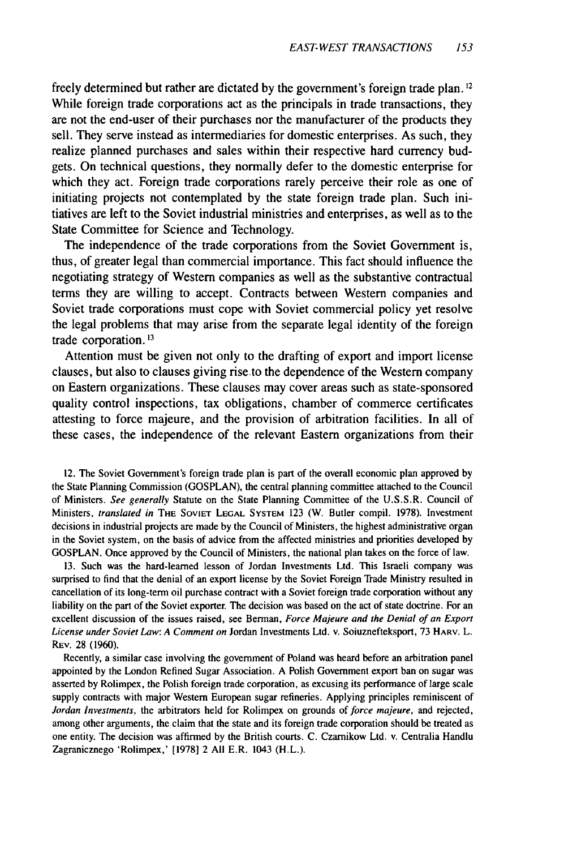freely determined but rather are dictated by the government's foreign trade plan. **1 2** While foreign trade corporations act as the principals in trade transactions, they are not the end-user of their purchases nor the manufacturer of the products they sell. They serve instead as intermediaries for domestic enterprises. As such, they realize planned purchases and sales within their respective hard currency budgets. On technical questions, they normally defer to the domestic enterprise for which they act. Foreign trade corporations rarely perceive their role as one of initiating projects not contemplated by the state foreign trade plan. Such initiatives are left to the Soviet industrial ministries and enterprises, as well as to the State Committee for Science and Technology.

The independence of the trade corporations from the Soviet Government is, thus, of greater legal than commercial importance. This fact should influence the negotiating strategy of Western companies as well as the substantive contractual terms they are willing to accept. Contracts between Western companies and Soviet trade corporations must cope with Soviet commercial policy yet resolve the legal problems that may arise from the separate legal identity of the foreign trade corporation. **13**

Attention must be given not only to the drafting of export and import license clauses, but also to clauses giving rise.to the dependence of the Western company on Eastern organizations. These clauses may cover areas such as state-sponsored quality control inspections, tax obligations, chamber of commerce certificates attesting to force majeure, and the provision of arbitration facilities. In all of these cases, the independence of the relevant Eastern organizations from their

12. The Soviet Government's foreign trade plan is part of the overall economic plan approved by the State Planning Commission (GOSPLAN), the central planning committee attached to the Council of Ministers. *See generally* Statute on the State Planning Committee of the U.S.S.R. Council of Ministers, *translated in* THE SOVIET **LEGAL** SYSTEM 123 (W. Butler compil. 1978). Investment decisions in industrial projects are made by the Council of Ministers, the highest administrative organ in the Soviet system, on the basis of advice from the affected ministries and priorities developed by GOSPLAN. Once approved by the Council of Ministers, the national plan takes on the force of law.

13. Such was the hard-learned lesson of Jordan Investments Ltd. This Israeli company was surprised to find that the denial of an export license by the Soviet Foreign Trade Ministry resulted in cancellation of its long-term oil purchase contract with a Soviet foreign trade corporation without any liability on the part of the Soviet exporter. The decision was based on the act of state doctrine. For an excellent discussion of the issues raised, see Berman, *Force Majeure and the Denial of an Export License under Soviet Law: A Comment on* Jordan Investments Ltd. v. Soiuznefteksport, 73 HARV. L. REv. 28 (1960).

Recently, a similar case involving the government of Poland was heard before an arbitration panel appointed by the London Refined Sugar Association. A Polish Government export ban on sugar was asserted by Rolimpex, the Polish foreign trade corporation, as excusing its performance of large scale supply contracts with major Western European sugar refineries. Applying principles reminiscent of *Jordan Investments,* the arbitrators held for Rolimpex on grounds of *force majeure,* and rejected, among other arguments, the claim that the state and its foreign trade corporation should be treated as one entity. The decision was affirmed by the British courts. C. Czarnikow Ltd. v. Centralia Handlu Zagranicznego 'Rolimpex,' [1978] 2 All E.R. 1043 (H.L.).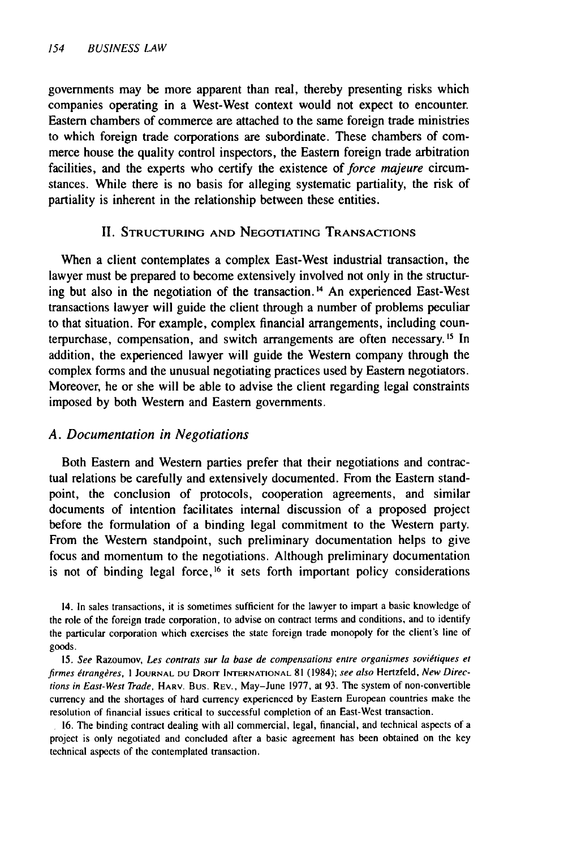governments may be more apparent than real, thereby presenting risks which companies operating in a West-West context would not expect to encounter. Eastern chambers of commerce are attached to the same foreign trade ministries to which foreign trade corporations are subordinate. These chambers of commerce house the quality control inspectors, the Eastern foreign trade arbitration facilities, and the experts who certify the existence of *force majeure* circumstances. While there is no basis for alleging systematic partiality, the risk of partiality is inherent in the relationship between these entities.

### II. STRUCTURING AND NEGOTIATING TRANSACTIONS

When a client contemplates a complex East-West industrial transaction, the lawyer must be prepared to become extensively involved not only in the structuring but also in the negotiation of the transaction.<sup>14</sup> An experienced East-West transactions lawyer will guide the client through a number of problems peculiar to that situation. For example, complex financial arrangements, including counterpurchase, compensation, and switch arrangements are often necessary. 's In addition, the experienced lawyer will guide the Western company through the complex forms and the unusual negotiating practices used by Eastern negotiators. Moreover, he or she will be able to advise the client regarding legal constraints imposed by both Western and Eastern governments.

#### *A. Documentation in Negotiations*

Both Eastern and Western parties prefer that their negotiations and contractual relations be carefully and extensively documented. From the Eastern standpoint, the conclusion of protocols, cooperation agreements, and similar documents of intention facilitates internal discussion of a proposed project before the formulation of a binding legal commitment to the Western party. From the Western standpoint, such preliminary documentation helps to give focus and momentum to the negotiations. Although preliminary documentation is not of binding legal force,<sup>16</sup> it sets forth important policy considerations

14. In sales transactions, it is sometimes sufficient for the lawyer to impart a basic knowledge of the role of the foreign trade corporation, to advise on contract terms and conditions, and to identify the particular corporation which exercises the state foreign trade monopoly for the client's line of goods.

15. See Razoumov, *Les* contrats sur *la* base de compensations entre organismes sovitiques et firmes étrangères, *I JOURNAL DU DROIT INTERNATIONAL 81 (1984); see also Hertzfeld, New Directions* in East-West Trade, HARV. Bus. REV., May-June 1977, at 93. The system of non-convertible currency and the shortages of hard currency experienced by Eastern European countries make the resolution of financial issues critical to successful completion of an East-West transaction.

16. The binding contract dealing with all commercial, legal, financial, and technical aspects of a project is only negotiated and concluded after a basic agreement has been obtained on the key technical aspects of the contemplated transaction.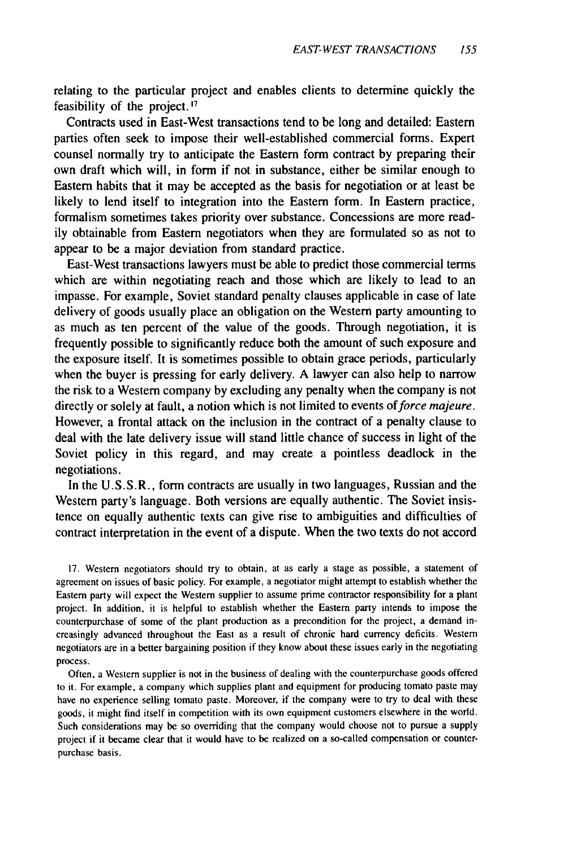relating to the particular project and enables clients to determine quickly the feasibility of the project. **'1**

Contracts used in East-West transactions tend to be long and detailed: Eastern parties often seek to impose their well-established commercial forms. Expert counsel normally try to anticipate the Eastern form contract by preparing their own draft which will, in form if not in substance, either be similar enough to Eastern habits that it may be accepted as the basis for negotiation or at least be likely to lend itself to integration into the Eastern form. In Eastern practice, formalism sometimes takes priority over substance. Concessions are more readily obtainable from Eastern negotiators when they are formulated so as not to appear to be a major deviation from standard practice.

East-West transactions lawyers must be able to predict those commercial terms which are within negotiating reach and those which are likely to lead to an impasse. For example, Soviet standard penalty clauses applicable in case of late delivery of goods usually place an obligation on the Western party amounting to as much as ten percent of the value of the goods. Through negotiation, it is frequently possible to significantly reduce both the amount of such exposure and the exposure itself. It is sometimes possible to obtain grace periods, particularly when the buyer is pressing for early delivery. A lawyer can also help to narrow the risk to a Western company by excluding any penalty when the company is not directly or solely at fault, a notion which is not limited to events *of force majeure.* However, a frontal attack on the inclusion in the contract of a penalty clause to deal with the late delivery issue will stand little chance of success in light of the Soviet policy in this regard, and may create a pointless deadlock in the negotiations.

In the U.S.S.R., form contracts are usually in two languages, Russian and the Western party's language. Both versions are equally authentic. The Soviet insistence on equally authentic texts can give rise to ambiguities and difficulties of contract interpretation in the event of a dispute. When the two texts do not accord

17. Western negotiators should try to obtain, at as early a stage as possible, a statement of agreement on issues of basic policy. For example, a negotiator might attempt to establish whether the Eastern party will expect the Western supplier to assume prime contractor responsibility for a plant project. In addition, it is helpful to establish whether the Eastern party intends to impose the counterpurchase of some of the plant production as a precondition for the project, a demand increasingly advanced throughout the East as a result of chronic hard currency deficits. Western negotiators are in a better bargaining position if they know about these issues early in the negotiating process.

Often, a Western supplier is not in the business of dealing with the counterpurchase goods offered to it. For example, a company which supplies plant and equipment for producing tomato paste may have no experience selling tomato paste. Moreover, if the company were to try to deal with these goods, it might find itself in competition with its own equipment customers elsewhere in the world. Such considerations may be so overriding that the company would choose not to pursue a supply project if it became clear that it would have to be realized on a so-called compensation or counterpurchase basis.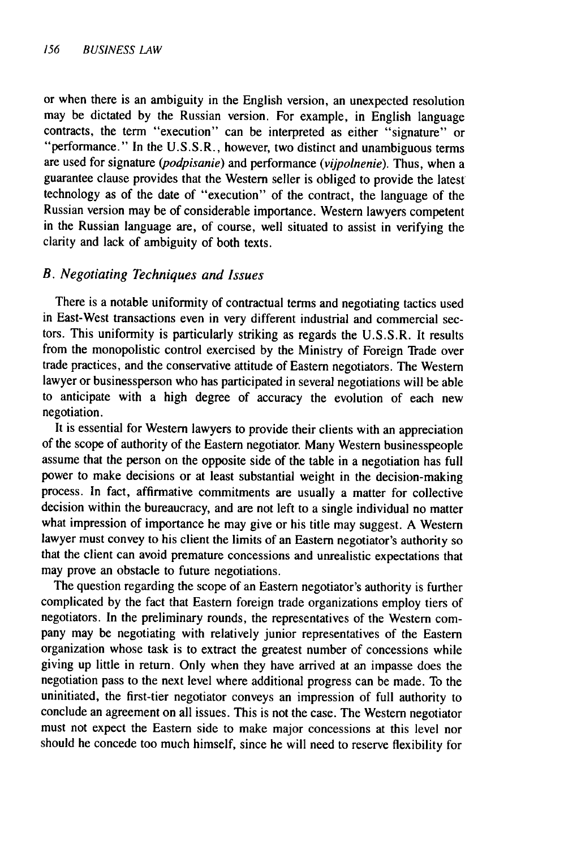or when there is an ambiguity in the English version, an unexpected resolution may be dictated by the Russian version. For example, in English language contracts, the term "execution" can be interpreted as either "signature" or "performance." In the U.S.S.R., however, two distinct and unambiguous terms are used for signature *(podpisanie)* and performance *(vijpolnenie).* Thus, when a guarantee clause provides that the Western seller is obliged to provide the latest technology as of the date of "execution" of the contract, the language of the Russian version may be of considerable importance. Western lawyers competent in the Russian language are, of course, well situated to assist in verifying the clarity and lack of ambiguity of both texts.

#### *B. Negotiating Techniques and Issues*

There is a notable uniformity of contractual terms and negotiating tactics used in East-West transactions even in very different industrial and commercial sectors. This uniformity is particularly striking as regards the U.S.S.R. It results from the monopolistic control exercised by the Ministry of Foreign Trade over trade practices, and the conservative attitude of Eastern negotiators. The Western lawyer or businessperson who has participated in several negotiations will be able to anticipate with a high degree of accuracy the evolution of each new negotiation.

It is essential for Western lawyers to provide their clients with an appreciation of the scope of authority of the Eastern negotiator. Many Western businesspeople assume that the person on the opposite side of the table in a negotiation has full power to make decisions or at least substantial weight in the decision-making process. In fact, affirmative commitments are usually a matter for collective decision within the bureaucracy, and are not left to a single individual no matter what impression of importance he may give or his title may suggest. A Western lawyer must convey to his client the limits of an Eastern negotiator's authority so that the client can avoid premature concessions and unrealistic expectations that may prove an obstacle to future negotiations.

The question regarding the scope of an Eastern negotiator's authority is further complicated by the fact that Eastern foreign trade organizations employ tiers of negotiators. In the preliminary rounds, the representatives of the Western company may be negotiating with relatively junior representatives of the Eastern organization whose task is to extract the greatest number of concessions while giving up little in return. Only when they have arrived at an impasse does the negotiation pass to the next level where additional progress can be made. To the uninitiated, the first-tier negotiator conveys an impression of full authority to conclude an agreement on all issues. This is not the case. The Western negotiator must not expect the Eastern side to make major concessions at this level nor should he concede too much himself, since he will need to reserve flexibility for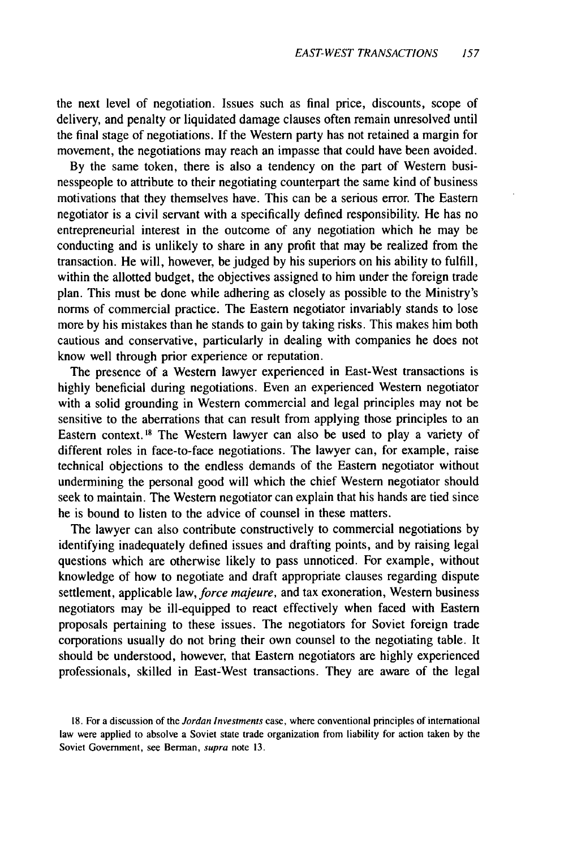the next level of negotiation. Issues such as final price, discounts, scope of delivery, and penalty or liquidated damage clauses often remain unresolved until the final stage of negotiations. If the Western party has not retained a margin for movement, the negotiations may reach an impasse that could have been avoided.

By the same token, there is also a tendency on the part of Western businesspeople to attribute to their negotiating counterpart the same kind of business motivations that they themselves have. This can be a serious error. The Eastern negotiator is a civil servant with a specifically defined responsibility. He has no entrepreneurial interest in the outcome of any negotiation which he may be conducting and is unlikely to share in any profit that may be realized from the transaction. He will, however, be judged by his superiors on his ability to fulfill, within the allotted budget, the objectives assigned to him under the foreign trade plan. This must be done while adhering as closely as possible to the Ministry's norms of commercial practice. The Eastern negotiator invariably stands to lose more by his mistakes than he stands to gain by taking risks. This makes him both cautious and conservative, particularly in dealing with companies he does not know well through prior experience or reputation.

The presence of a Western lawyer experienced in East-West transactions is highly beneficial during negotiations. Even an experienced Western negotiator with a solid grounding in Western commercial and legal principles may not be sensitive to the aberrations that can result from applying those principles to an Eastern context.<sup>18</sup> The Western lawyer can also be used to play a variety of different roles in face-to-face negotiations. The lawyer can, for example, raise technical objections to the endless demands of the Eastern negotiator without undermining the personal good will which the chief Western negotiator should seek to maintain. The Western negotiator can explain that his hands are tied since he is bound to listen to the advice of counsel in these matters.

The lawyer can also contribute constructively to commercial negotiations by identifying inadequately defined issues and drafting points, and by raising legal questions which are otherwise likely to pass unnoticed. For example, without knowledge of how to negotiate and draft appropriate clauses regarding dispute settlement, applicable law, *force majeure,* and tax exoneration, Western business negotiators may be ill-equipped to react effectively when faced with Eastern proposals pertaining to these issues. The negotiators for Soviet foreign trade corporations usually do not bring their own counsel to the negotiating table. It should be understood, however, that Eastern negotiators are highly experienced professionals, skilled in East-West transactions. They are aware of the legal

<sup>18.</sup> For a discussion of the *Jordan* Investments case, where conventional principles of international law were applied to absolve a Soviet state trade organization from liability for action taken by the Soviet Government, see Berman, supra note 13.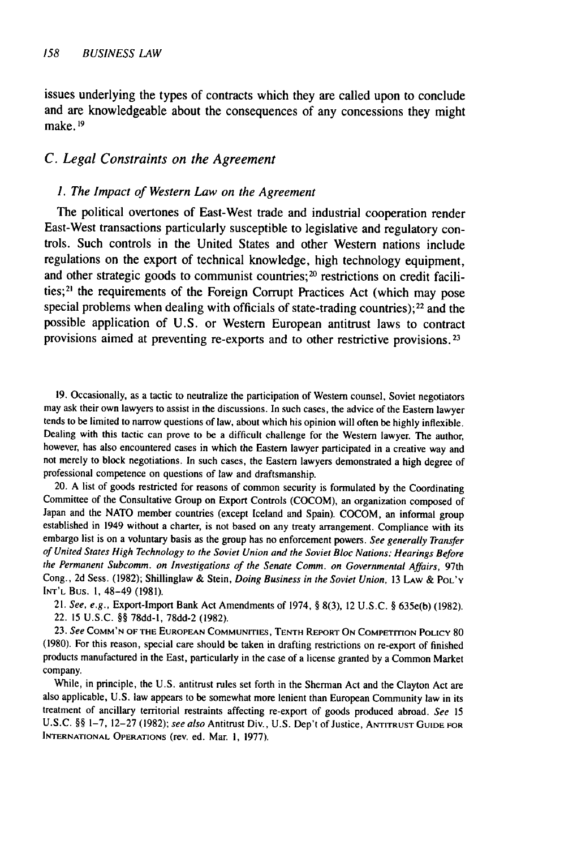issues underlying the types of contracts which they are called upon to conclude and are knowledgeable about the consequences of any concessions they might make. **19**

#### *C. Legal Constraints on the Agreement*

#### *1. The Impact of Western Law on the Agreement*

The political overtones of East-West trade and industrial cooperation render East-West transactions particularly susceptible to legislative and regulatory controls. Such controls in the United States and other Western nations include regulations on the export of technical knowledge, high technology equipment, and other strategic goods to communist countries;<sup>20</sup> restrictions on credit facilities;<sup>21</sup> the requirements of the Foreign Corrupt Practices Act (which may pose special problems when dealing with officials of state-trading countries); $^{22}$  and the possible application of U.S. or Western European antitrust laws to contract provisions aimed at preventing re-exports and to other restrictive provisions. <sup>23</sup>

19. Occasionally, as a tactic to neutralize the participation of Western counsel, Soviet negotiators may ask their own lawyers to assist in the discussions. In such cases, the advice of the Eastern lawyer tends to be limited to narrow questions of law, about which his opinion will often be highly inflexible. Dealing with this tactic can prove to be a difficult challenge for the Western lawyer. The author, however, has also encountered cases in which the Eastern lawyer participated in a creative way and not merely to block negotiations. In such cases, the Eastern lawyers demonstrated a high degree of professional competence on questions of law and draftsmanship.

20. A list of goods restricted for reasons of common security is formulated by the Coordinating Committee of the Consultative Group on Export Controls (COCOM), an organization composed of Japan and the NATO member countries (except Iceland and Spain). COCOM, an informal group established in 1949 without a charter, is not based on any treaty arrangement. Compliance with its embargo list is on a voluntary basis as the group has no enforcement powers. *See* generally Transfer of United States High Technology to the Soviet Union and the Soviet Bloc Nations: Hearings Before the Permanent Subcomm. on Investigations of the Senate Comm. on Governmental Affairs, 97th Cong., 2d Sess. (1982); Shillinglaw & Stein, Doing Business in the Soviet Union, 13 Law & PoL'Y **INT'L** Bus. 1, 48-49 (1981).

21. *See,* e.g., Export-Import Bank Act Amendments of 1974, § 8(3), 12 U.S.C. § 635e(b) (1982). 22. 15 U.S.C. *§§* 78dd-l, 78dd-2 (1982).

23. See **COMM'N** OF THE EUROPEAN **COMMUNITIES, TENTH** REPORT **ON COMPETITION** POLICY <sup>80</sup> (1980). For this reason, special care should be taken in drafting restrictions on re-export of finished products manufactured in the East, particularly in the case of a license granted by a Common Market company.

While, in principle, the U.S. antitrust rules set forth in the Sherman Act and the Clayton Act are also applicable, U.S. law appears to be somewhat more lenient than European Community law in its treatment of ancillary territorial restraints affecting re-export of goods produced abroad. *See 15* U.S.C. *§§* 1-7, 12-27 (1982); see *also* Antitrust Div., U.S. Dep't of Justice, ANTITRUST **GUIDE** FOR **INTERNATIONAL OPERATIONS** (rev. ed. Mar. **i,** 1977).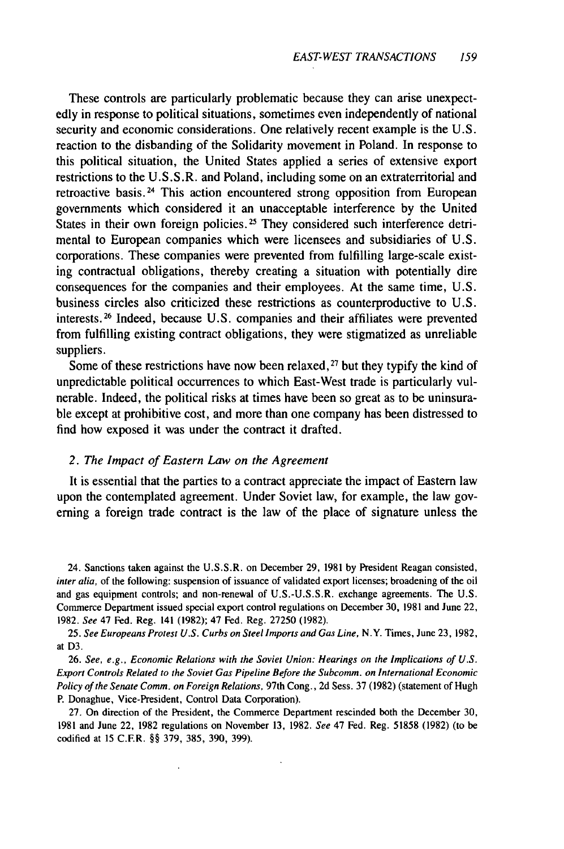These controls are particularly problematic because they can arise unexpectedly in response to political situations, sometimes even independently of national security and economic considerations. One relatively recent example is the U.S. reaction to the disbanding of the Solidarity movement in Poland. In response to this political situation, the United States applied a series of extensive export restrictions to the U.S.S.R. and Poland, including some on an extraterritorial and retroactive basis.24 This action encountered strong opposition from European governments which considered it an unacceptable interference by the United States in their own foreign policies.<sup>25</sup> They considered such interference detrimental to European companies which were licensees and subsidiaries of U.S. corporations. These companies were prevented from fulfilling large-scale existing contractual obligations, thereby creating a situation with potentially dire consequences for the companies and their employees. At the same time, U.S. business circles also criticized these restrictions as counterproductive to U.S. interests.<sup>26</sup> Indeed, because U.S. companies and their affiliates were prevented from fulfilling existing contract obligations, they were stigmatized as unreliable suppliers.

Some of these restrictions have now been relaxed, **27** but they typify the kind of unpredictable political occurrences to which East-West trade is particularly vulnerable. Indeed, the political risks at times have been so great as to be uninsurable except at prohibitive cost, and more than one company has been distressed to find how exposed it was under the contract it drafted.

#### *2. The Impact of Eastern Law on the Agreement*

It is essential that the parties to a contract appreciate the impact of Eastern law upon the contemplated agreement. Under Soviet law, for example, the law governing a foreign trade contract is the law of the place of signature unless the

24. Sanctions taken against the U.S.S.R. on December 29, 1981 by President Reagan consisted, inter alia, of the following: suspension of issuance of validated export licenses; broadening of the oil and gas equipment controls; and non-renewal of U.S.-U.S.S.R. exchange agreements. The U.S. Commerce Department issued special export control regulations on December 30, 1981 and June 22, 1982. *See* 47 Fed. Reg. 141 (1982); 47 Fed. Reg. 27250 (1982).

25. *See Europeans Protest U.S. Curbs on Steel Imports and Gas Line,* N.Y. Times, June 23, 1982, at D3.

26. See, *e.g., Economic Relations with the Soviet Union: Hearings on the Implications of U.S. Export Controls Related to the Soviet Gas Pipeline Before the Subcomm. on International Economic Policy of the Senate Comm. on Foreign Relations,* 97th Cong., 2d Sess. 37 (1982) (statement of Hugh P. Donaghue, Vice-President, Control Data Corporation).

27. On direction of the President, the Commerce Department rescinded both the December 30, 1981 and June 22, 1982 regulations on November 13, 1982. *See* 47 Fed. Reg. 51858 (1982) (to be codified at 15 C.ER. §§ 379, 385, 390, 399).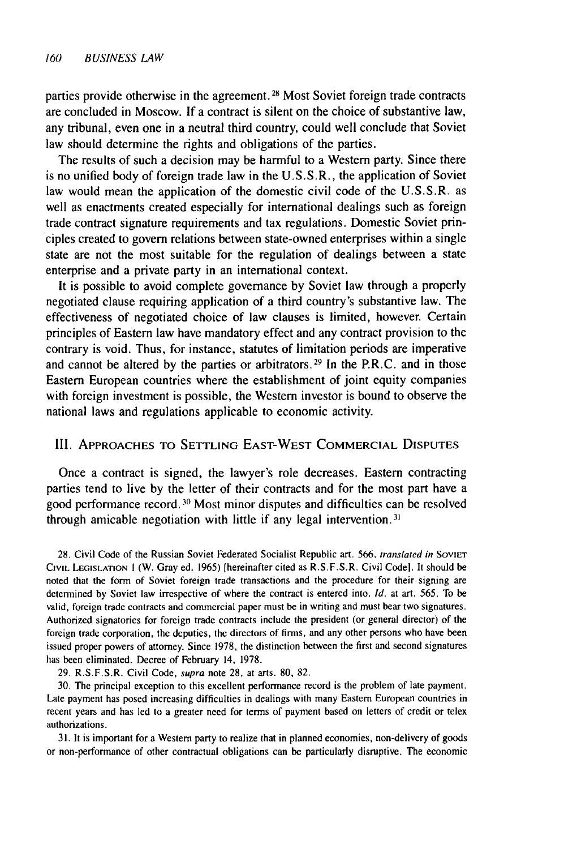parties provide otherwise in the agreement. 28 Most Soviet foreign trade contracts are concluded in Moscow. If a contract is silent on the choice of substantive law, any tribunal, even one in a neutral third country, could well conclude that Soviet law should determine the rights and obligations of the parties.

The results of such a decision may be harmful to a Western party. Since there is no unified body of foreign trade law in the U.S.S.R., the application of Soviet law would mean the application of the domestic civil code of the U.S.S.R. as well as enactments created especially for international dealings such as foreign trade contract signature requirements and tax regulations. Domestic Soviet principles created to govern relations between state-owned enterprises within a single state are not the most suitable for the regulation of dealings between a state enterprise and a private party in an international context.

It is possible to avoid complete governance by Soviet law through a properly negotiated clause requiring application of a third country's substantive law. The effectiveness of negotiated choice of law clauses is limited, however. Certain principles of Eastern law have mandatory effect and any contract provision to the contrary is void. Thus, for instance, statutes of limitation periods are imperative and cannot be altered by the parties or arbitrators.<sup>29</sup> In the P.R.C. and in those Eastern European countries where the establishment of joint equity companies with foreign investment is possible, the Western investor is bound to observe the national laws and regulations applicable to economic activity.

#### III. APPROACHES TO SETTLING **EAST-WEST** COMMERCIAL **DISPUTES**

Once a contract is signed, the lawyer's role decreases. Eastern contracting parties tend to live by the letter of their contracts and for the most part have a good performance record.<sup>30</sup> Most minor disputes and difficulties can be resolved through amicable negotiation with little if any legal intervention.<sup>31</sup>

28. Civil Code of the Russian Soviet Federated Socialist Republic art. 566, *translated* in SOVIET CIVIL **LEGISLATION I** (W. Gray ed. 1965) [hereinafter cited as R.S.F.S.R. Civil Code). It should be noted that the form of Soviet foreign trade transactions and the procedure for their signing are determined by Soviet law irrespective of where the contract is entered into. Id. at art. 565. To be valid, foreign trade contracts and commercial paper must be in writing and must bear two signatures. Authorized signatories for foreign trade contracts include the president (or general director) of the foreign trade corporation, the deputies, the directors of firms, and any other persons who have been issued proper powers of attorney. Since 1978, the distinction between the first and second signatures has been eliminated. Decree of February 14, 1978.

29. R.S.F.S.R. Civil Code, supra note **28,** at arts. 80, 82.

30. The principal exception to this excellent performance record is the problem of late payment. Late payment has posed increasing difficulties in dealings with many Eastern European countries in recent years and has led to a greater need for terms of payment based on letters of credit or telex authorizations.

31. It is important for a Western party to realize that in planned economies, non-delivery of goods or non-performance of other contractual obligations can be particularly disruptive. The economic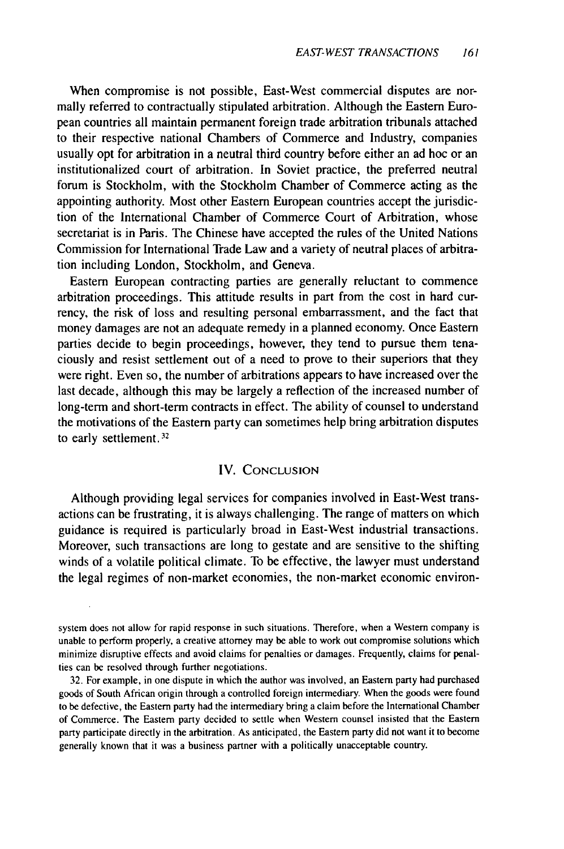When compromise is not possible, East-West commercial disputes are normally referred to contractually stipulated arbitration. Although the Eastern European countries all maintain permanent foreign trade arbitration tribunals attached to their respective national Chambers of Commerce and Industry, companies usually opt for arbitration in a neutral third country before either an ad hoc or an institutionalized court of arbitration. In Soviet practice, the preferred neutral forum is Stockholm, with the Stockholm Chamber of Commerce acting as the appointing authority. Most other Eastern European countries accept the jurisdiction of the International Chamber of Commerce Court of Arbitration, whose secretariat is in Paris. The Chinese have accepted the rules of the United Nations Commission for International Trade Law and a variety of neutral places of arbitration including London, Stockholm, and Geneva.

Eastern European contracting parties are generally reluctant to commence arbitration proceedings. This attitude results in part from the cost in hard currency, the risk of loss and resulting personal embarrassment, and the fact that money damages are not an adequate remedy in a planned economy. Once Eastern parties decide to begin proceedings, however, they tend to pursue them tenaciously and resist settlement out of a need to prove to their superiors that they were right. Even so, the number of arbitrations appears to have increased over the last decade, although this may be largely a reflection of the increased number of long-term and short-term contracts in effect. The ability of counsel to understand the motivations of the Eastern party can sometimes help bring arbitration disputes to early settlement.<sup>32</sup>

#### IV. **CONCLUSION**

Although providing legal services for companies involved in East-West transactions can be frustrating, it is always challenging. The range of matters on which guidance is required is particularly broad in East-West industrial transactions. Moreover, such transactions are long to gestate and are sensitive to the shifting winds of a volatile political climate. To be effective, the lawyer must understand the legal regimes of non-market economies, the non-market economic environ-

system does not allow for rapid response in such situations. Therefore, when a Western company is unable to perform properly, a creative attorney may be able to work out compromise solutions which minimize disruptive effects and avoid claims for penalties or damages. Frequently, claims for penalties can be resolved through further negotiations.

32. For example, in one dispute in which the author was involved, an Eastern party had purchased goods of South African origin through a controlled foreign intermediary. When the goods were found to be defective, the Eastern party had the intermediary bring a claim before the International Chamber of Commerce. The Eastern party decided to settle when Western counsel insisted that the Eastern party participate directly in the arbitration. As anticipated, the Eastern party did not want it to become generally known that it was a business partner with a politically unacceptable country.